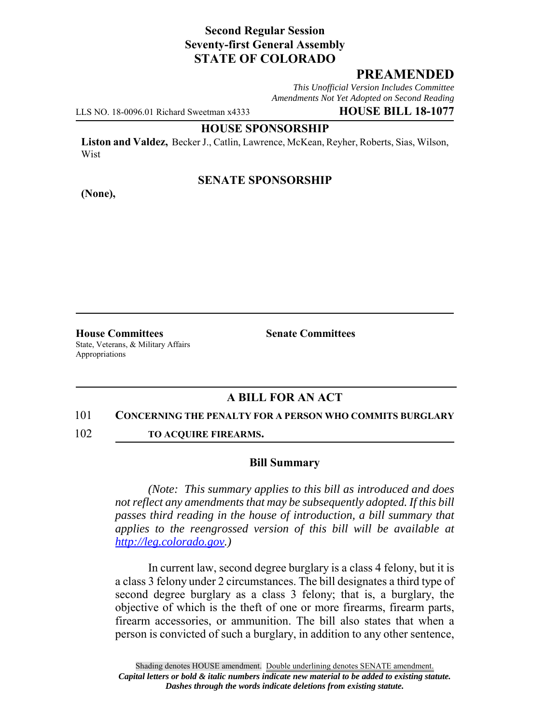# **Second Regular Session Seventy-first General Assembly STATE OF COLORADO**

## **PREAMENDED**

*This Unofficial Version Includes Committee Amendments Not Yet Adopted on Second Reading*

LLS NO. 18-0096.01 Richard Sweetman x4333 **HOUSE BILL 18-1077**

### **HOUSE SPONSORSHIP**

**Liston and Valdez,** Becker J., Catlin, Lawrence, McKean, Reyher, Roberts, Sias, Wilson, Wist

## **SENATE SPONSORSHIP**

**(None),**

**House Committees Senate Committees** State, Veterans, & Military Affairs Appropriations

# **A BILL FOR AN ACT**

#### 101 **CONCERNING THE PENALTY FOR A PERSON WHO COMMITS BURGLARY**

102 **TO ACQUIRE FIREARMS.**

#### **Bill Summary**

*(Note: This summary applies to this bill as introduced and does not reflect any amendments that may be subsequently adopted. If this bill passes third reading in the house of introduction, a bill summary that applies to the reengrossed version of this bill will be available at http://leg.colorado.gov.)*

In current law, second degree burglary is a class 4 felony, but it is a class 3 felony under 2 circumstances. The bill designates a third type of second degree burglary as a class 3 felony; that is, a burglary, the objective of which is the theft of one or more firearms, firearm parts, firearm accessories, or ammunition. The bill also states that when a person is convicted of such a burglary, in addition to any other sentence,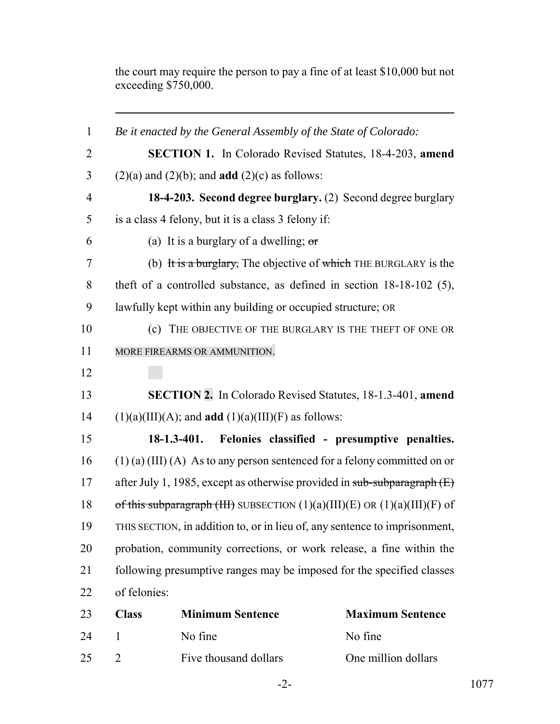the court may require the person to pay a fine of at least \$10,000 but not exceeding \$750,000.

| $\mathbf{1}$   | Be it enacted by the General Assembly of the State of Colorado:              |                                                                         |                         |
|----------------|------------------------------------------------------------------------------|-------------------------------------------------------------------------|-------------------------|
| $\overline{2}$ |                                                                              | <b>SECTION 1.</b> In Colorado Revised Statutes, 18-4-203, amend         |                         |
| 3              |                                                                              | $(2)(a)$ and $(2)(b)$ ; and <b>add</b> $(2)(c)$ as follows:             |                         |
| $\overline{4}$ |                                                                              | 18-4-203. Second degree burglary. (2) Second degree burglary            |                         |
| 5              |                                                                              | is a class 4 felony, but it is a class 3 felony if:                     |                         |
| 6              |                                                                              | (a) It is a burglary of a dwelling; $\sigma$                            |                         |
| 7              |                                                                              | (b) It is a burglary, The objective of which THE BURGLARY is the        |                         |
| 8              |                                                                              | theft of a controlled substance, as defined in section $18-18-102$ (5), |                         |
| 9              | lawfully kept within any building or occupied structure; OR                  |                                                                         |                         |
| 10             |                                                                              | (c) THE OBJECTIVE OF THE BURGLARY IS THE THEFT OF ONE OR                |                         |
| 11             | MORE FIREARMS OR AMMUNITION.                                                 |                                                                         |                         |
| 12             |                                                                              |                                                                         |                         |
| 13             | SECTION 2. In Colorado Revised Statutes, 18-1.3-401, amend                   |                                                                         |                         |
| 14             | $(1)(a)(III)(A)$ ; and <b>add</b> $(1)(a)(III)(F)$ as follows:               |                                                                         |                         |
| 15             |                                                                              | $18-1.3-401.$<br>Felonies classified - presumptive penalties.           |                         |
| 16             | $(1)$ (a) (III) (A) As to any person sentenced for a felony committed on or  |                                                                         |                         |
| 17             | after July 1, 1985, except as otherwise provided in sub-subparagraph $(E)$   |                                                                         |                         |
| 18             | of this subparagraph (HH) SUBSECTION $(1)(a)(III)(E)$ OR $(1)(a)(III)(F)$ of |                                                                         |                         |
| 19             | THIS SECTION, in addition to, or in lieu of, any sentence to imprisonment,   |                                                                         |                         |
| 20             | probation, community corrections, or work release, a fine within the         |                                                                         |                         |
| 21             | following presumptive ranges may be imposed for the specified classes        |                                                                         |                         |
| 22             | of felonies:                                                                 |                                                                         |                         |
| 23             | <b>Class</b>                                                                 | <b>Minimum Sentence</b>                                                 | <b>Maximum Sentence</b> |
| 24             | $\mathbf{1}$                                                                 | No fine                                                                 | No fine                 |
| 25             | 2                                                                            | Five thousand dollars                                                   | One million dollars     |
|                |                                                                              |                                                                         |                         |